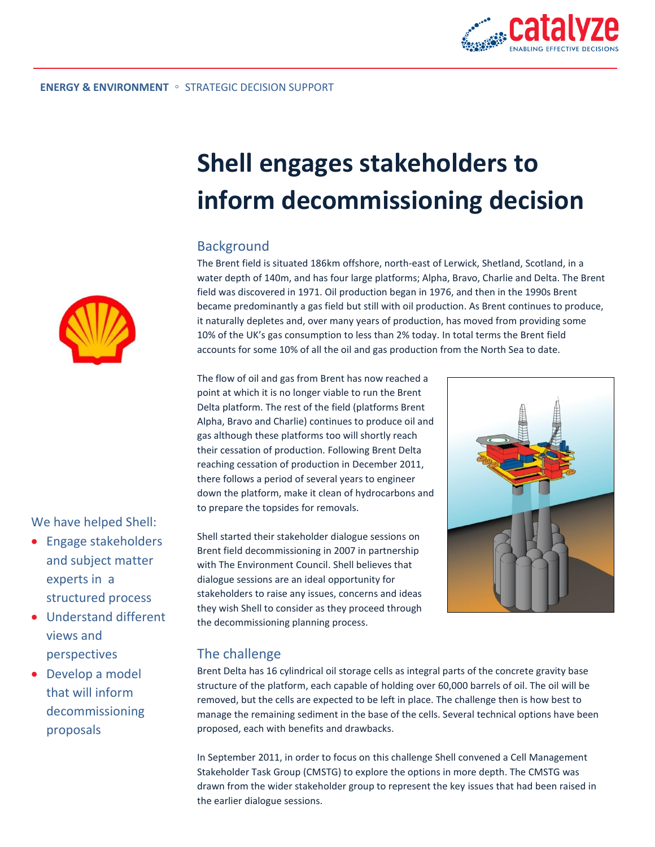

# **Shell engages stakeholders to inform decommissioning decision**

### Background

The Brent field is situated 186km offshore, north-east of Lerwick, Shetland, Scotland, in a water depth of 140m, and has four large platforms; Alpha, Bravo, Charlie and Delta. The Brent field was discovered in 1971. Oil production began in 1976, and then in the 1990s Brent became predominantly a gas field but still with oil production. As Brent continues to produce, it naturally depletes and, over many years of production, has moved from providing some 10% of the UK's gas consumption to less than 2% today. In total terms the Brent field accounts for some 10% of all the oil and gas production from the North Sea to date.

The flow of oil and gas from Brent has now reached a point at which it is no longer viable to run the Brent Delta platform. The rest of the field (platforms Brent Alpha, Bravo and Charlie) continues to produce oil and gas although these platforms too will shortly reach their cessation of production. Following Brent Delta reaching cessation of production in December 2011, there follows a period of several years to engineer down the platform, make it clean of hydrocarbons and to prepare the topsides for removals.

Shell started their stakeholder dialogue sessions on Brent field decommissioning in 2007 in partnership with The Environment Council. Shell believes that dialogue sessions are an ideal opportunity for stakeholders to raise any issues, concerns and ideas they wish Shell to consider as they proceed through the decommissioning planning process.



#### The challenge

Brent Delta has 16 cylindrical oil storage cells as integral parts of the concrete gravity base structure of the platform, each capable of holding over 60,000 barrels of oil. The oil will be removed, but the cells are expected to be left in place. The challenge then is how best to manage the remaining sediment in the base of the cells. Several technical options have been proposed, each with benefits and drawbacks.

In September 2011, in order to focus on this challenge Shell convened a Cell Management Stakeholder Task Group (CMSTG) to explore the options in more depth. The CMSTG was drawn from the wider stakeholder group to represent the key issues that had been raised in the earlier dialogue sessions.



We have helped Shell:

- Engage stakeholders and subject matter experts in a structured process
- Understand different views and perspectives
- Develop a model that will inform decommissioning proposals